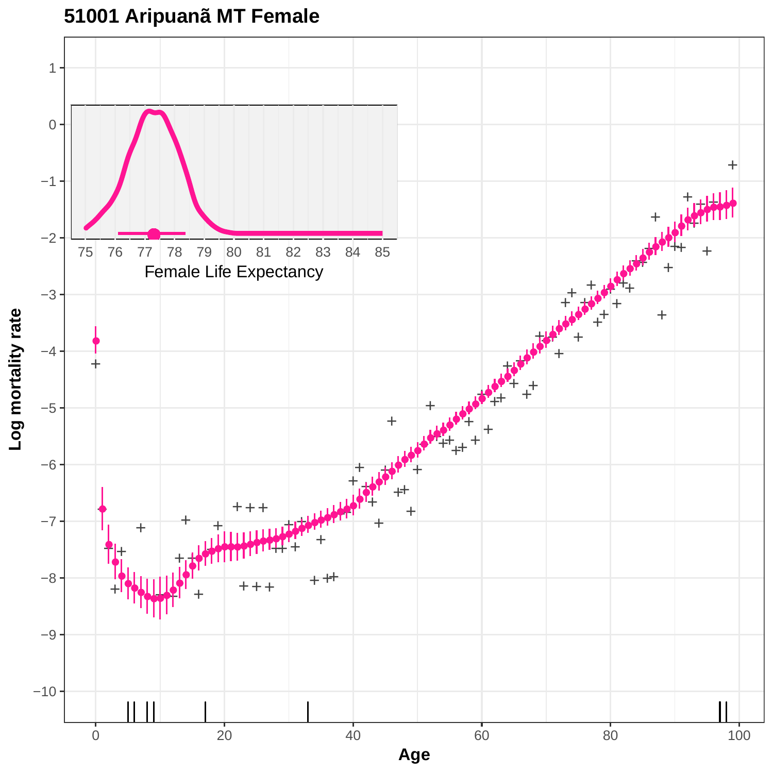

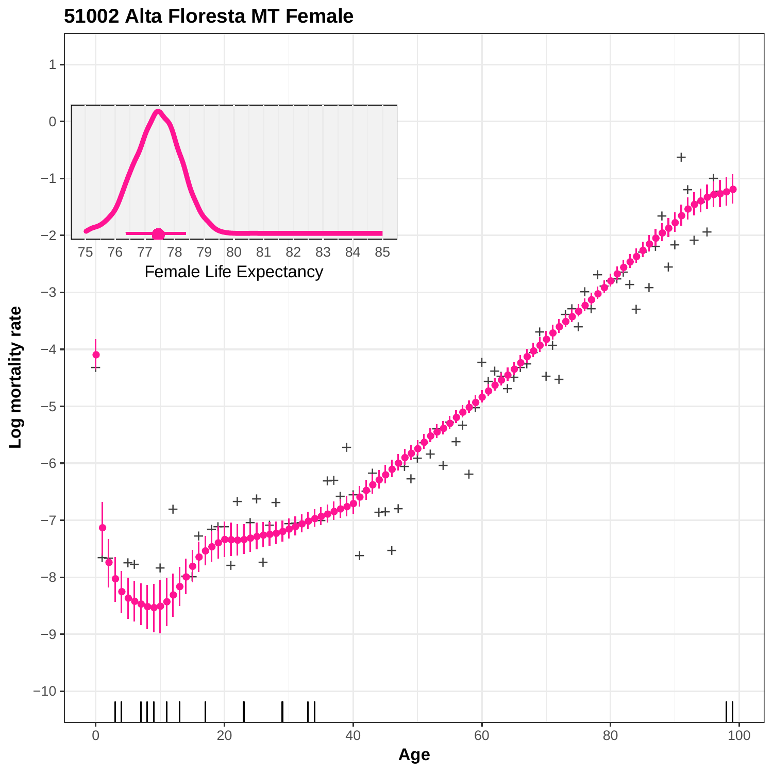

# **51002 Alta Floresta MT Female**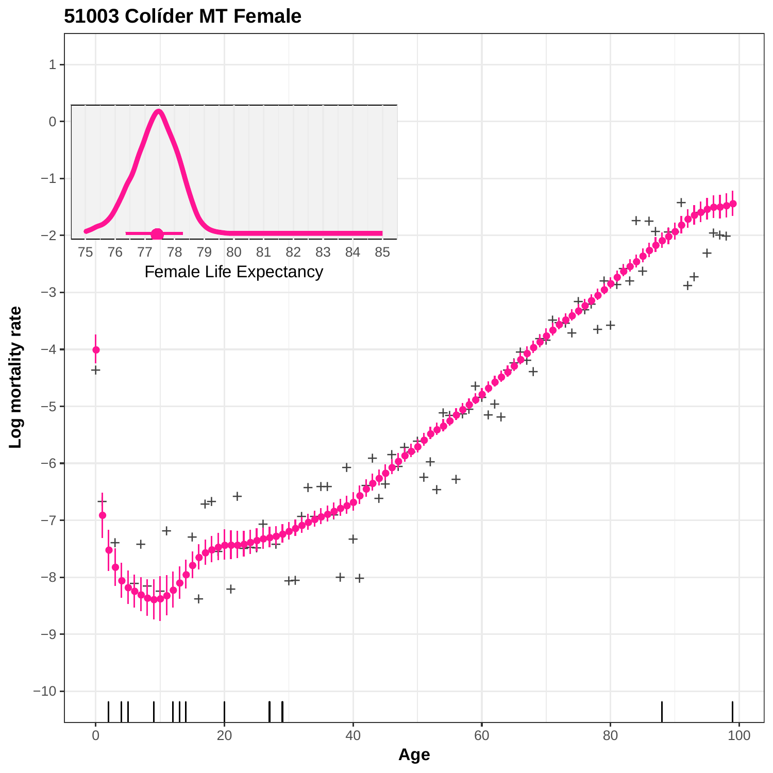

### **51003 Colíder MT Female**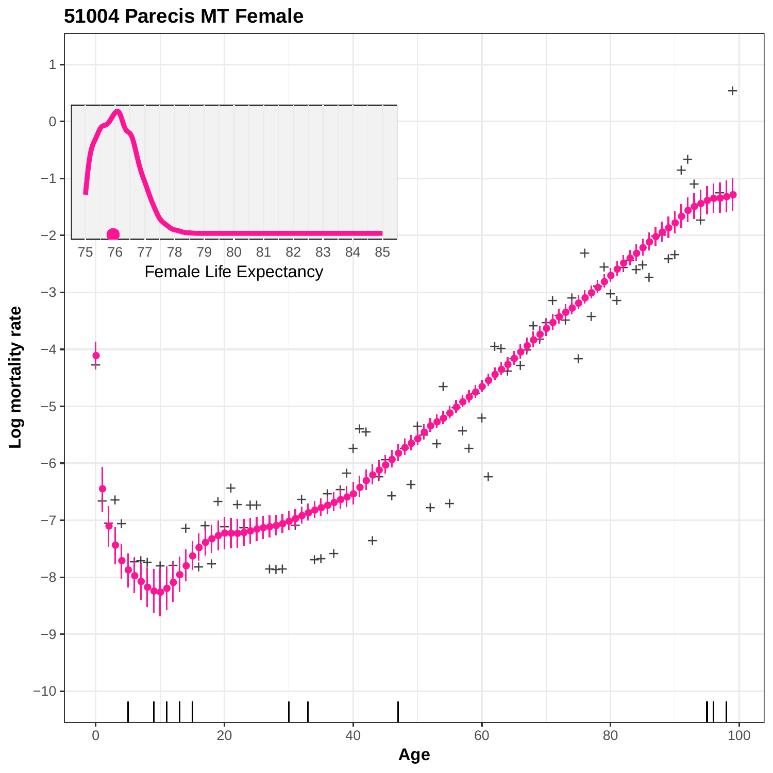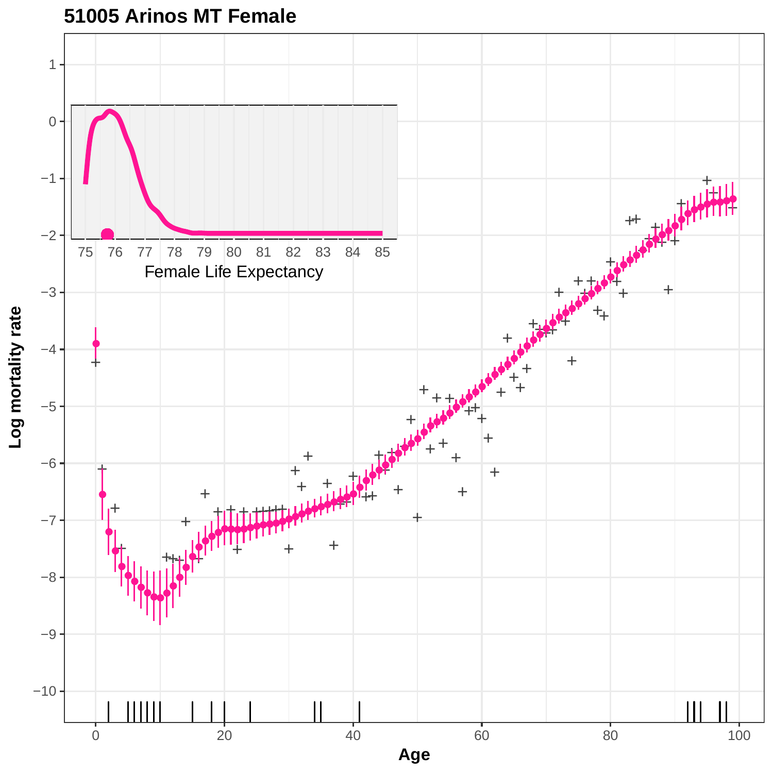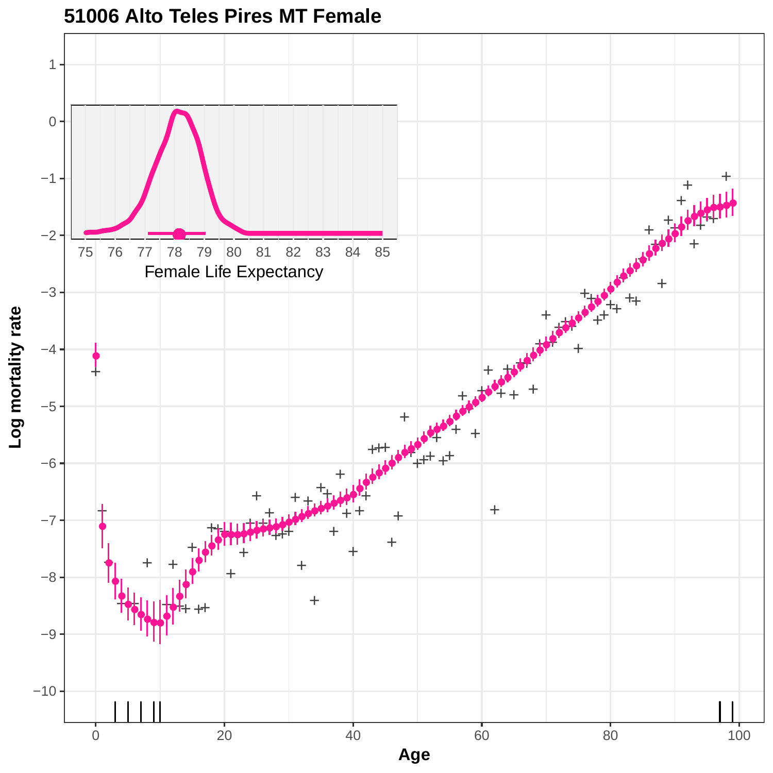

**51006 Alto Teles Pires MT Female**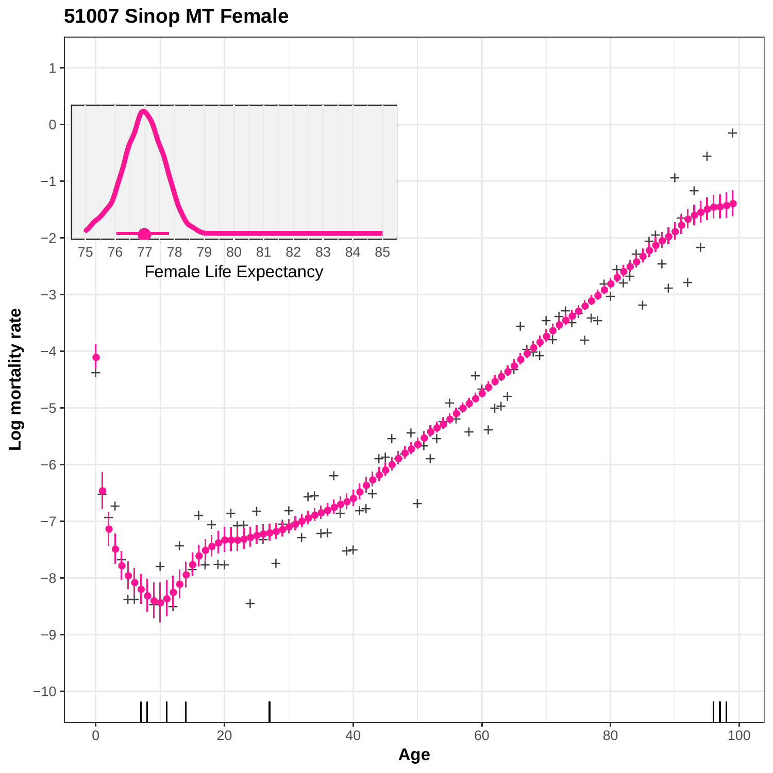# **51007 Sinop MT Female**

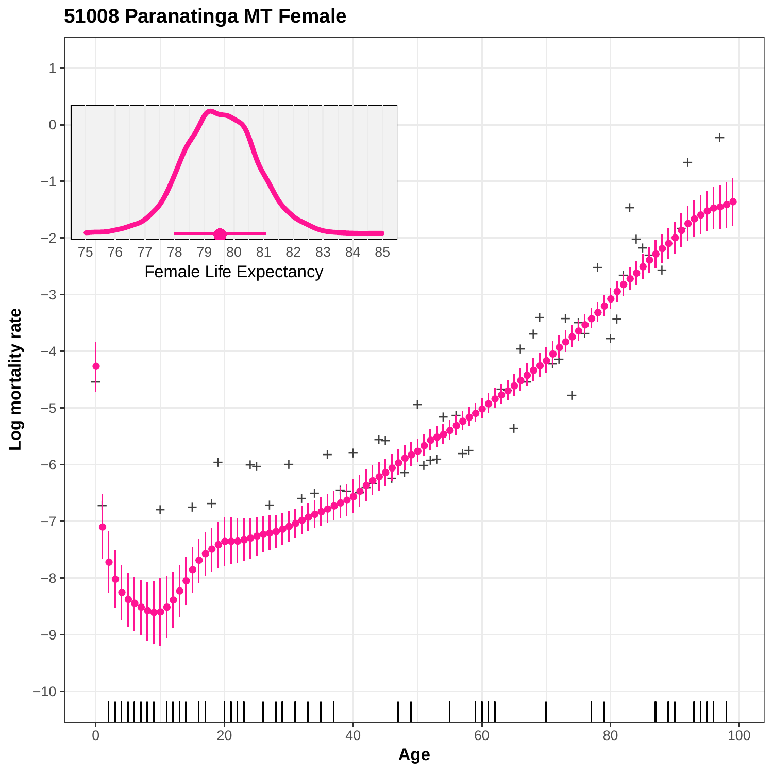

### **51008 Paranatinga MT Female**

**Log mortality rate**

0 20 20 40 60 80 80 100 **Age**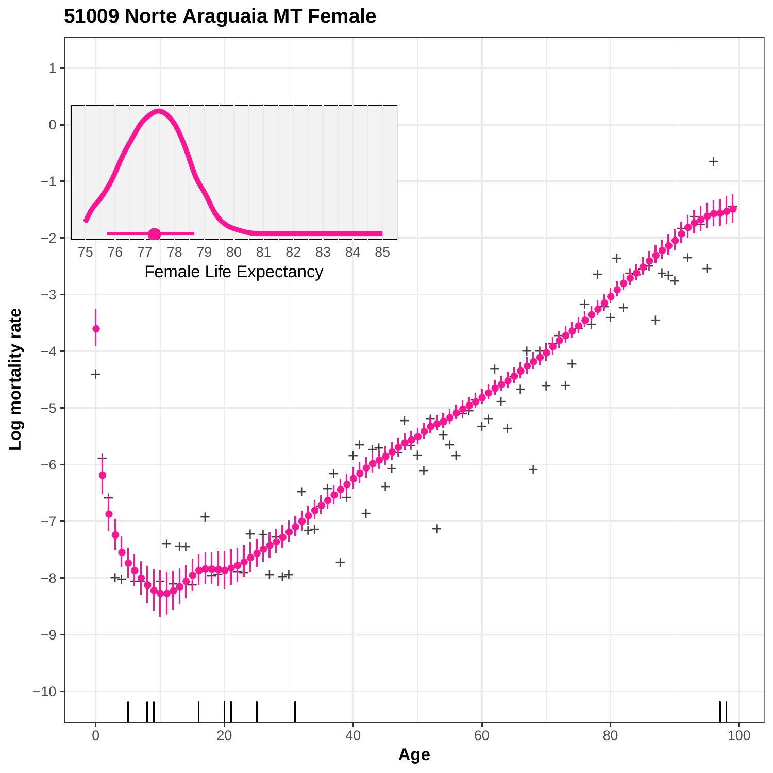

### **51009 Norte Araguaia MT Female**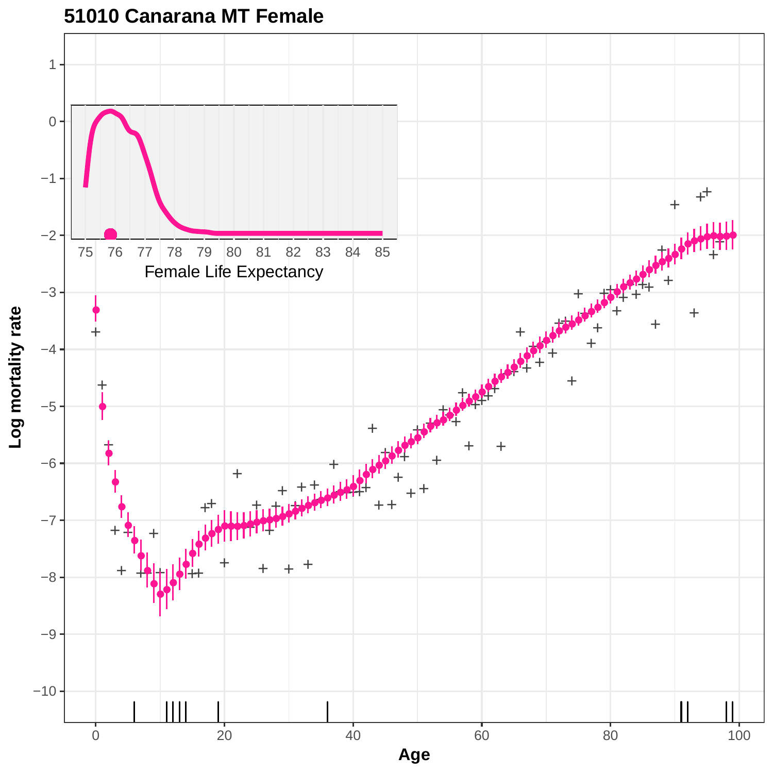

**51010 Canarana MT Female**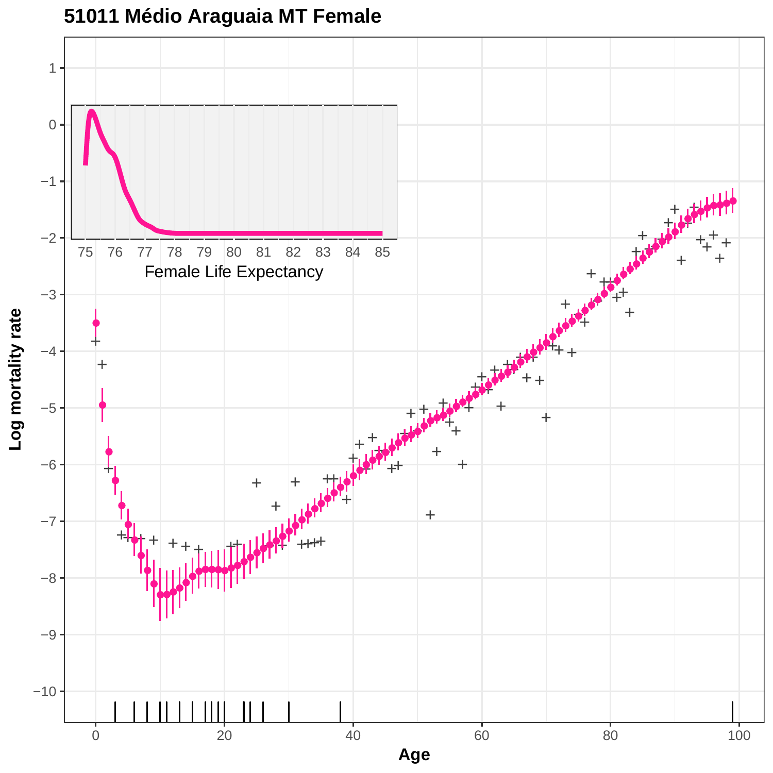

### **51011 Médio Araguaia MT Female**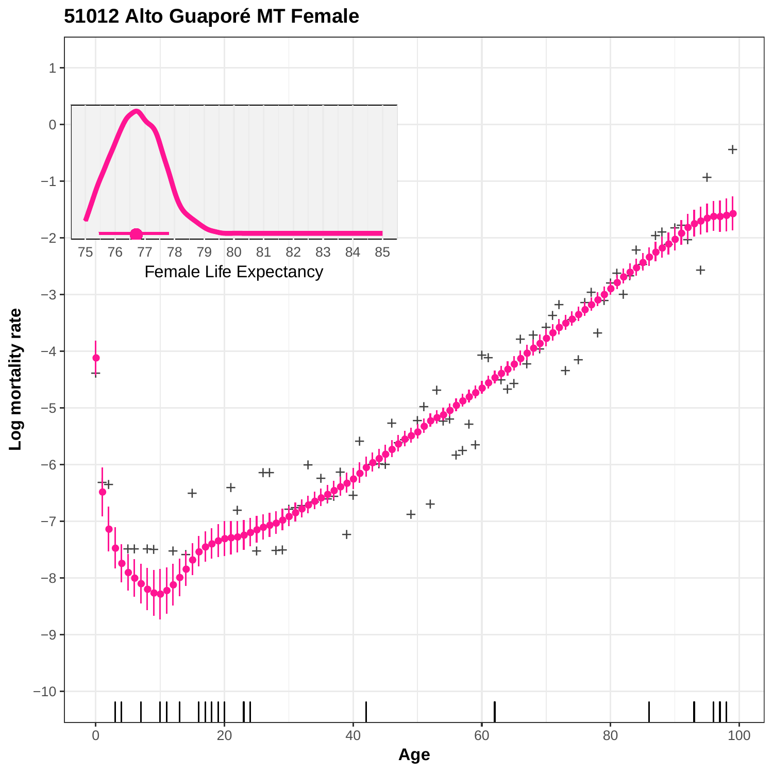

### **51012 Alto Guaporé MT Female**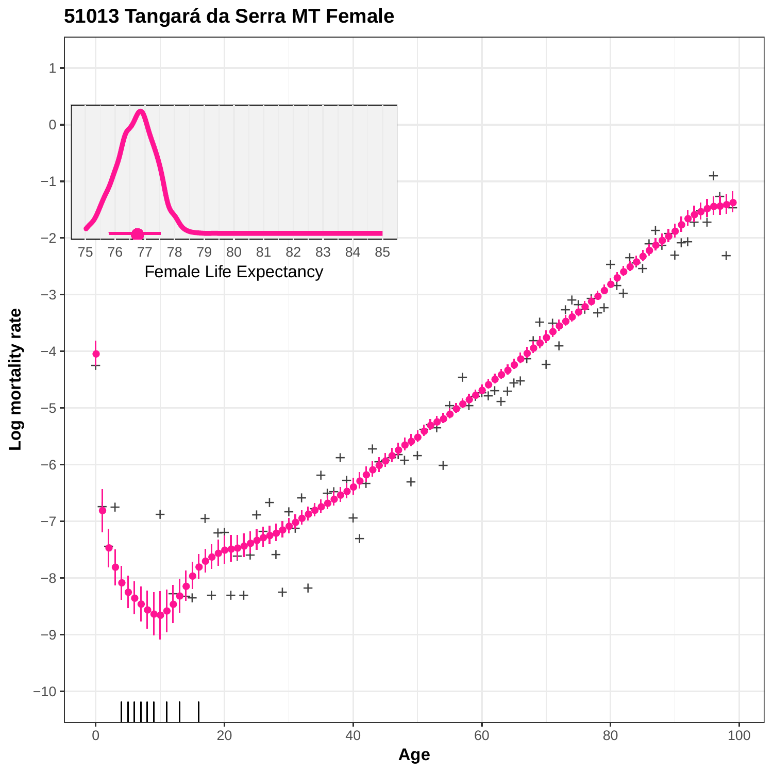

### **51013 Tangará da Serra MT Female**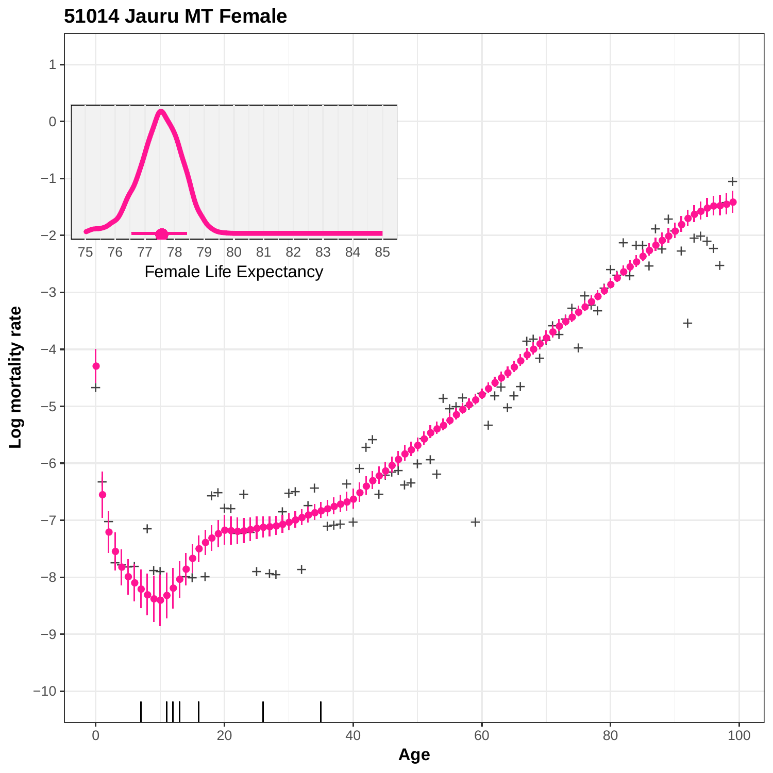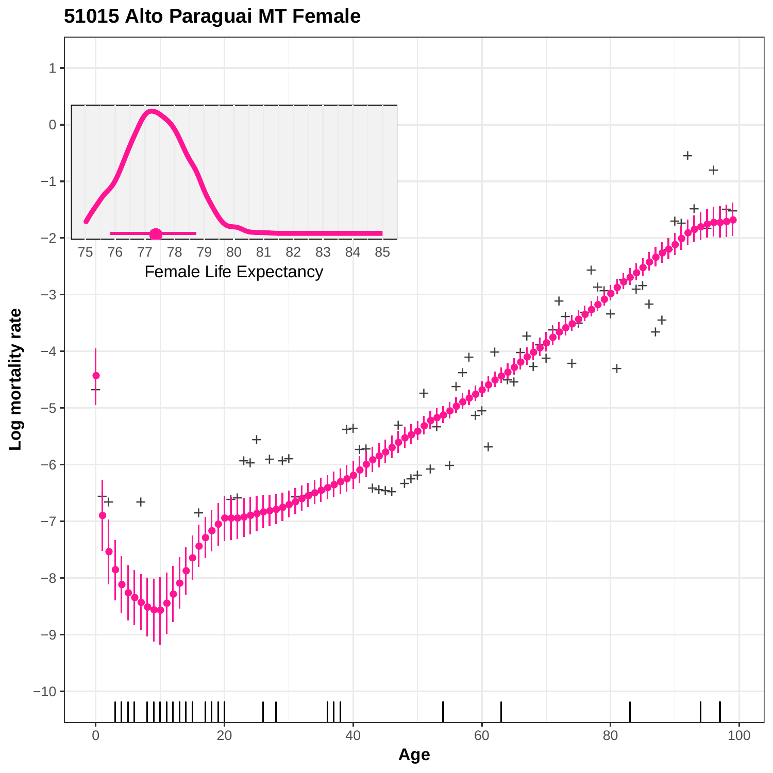

### **51015 Alto Paraguai MT Female**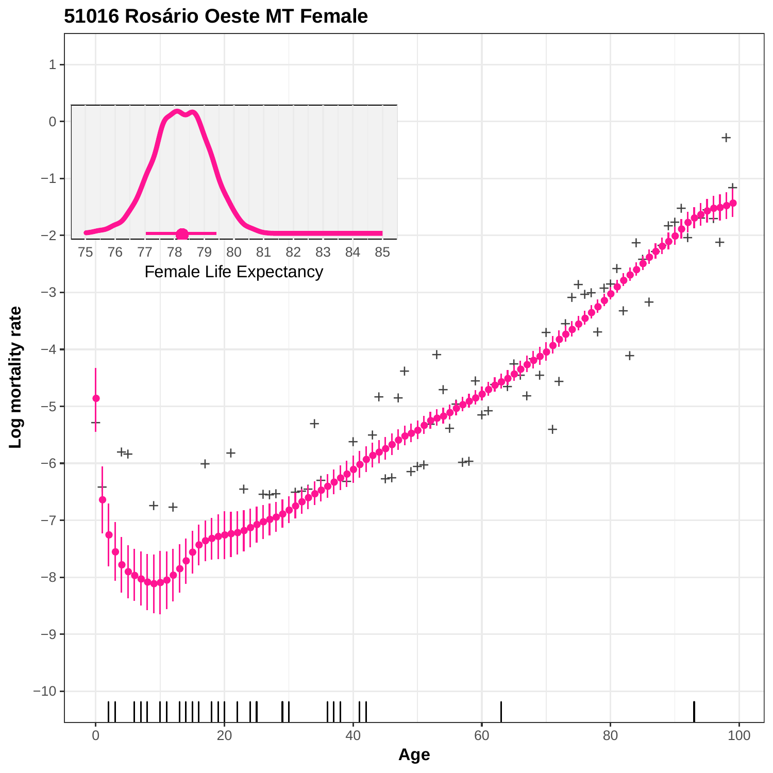

#### **51016 Rosário Oeste MT Female**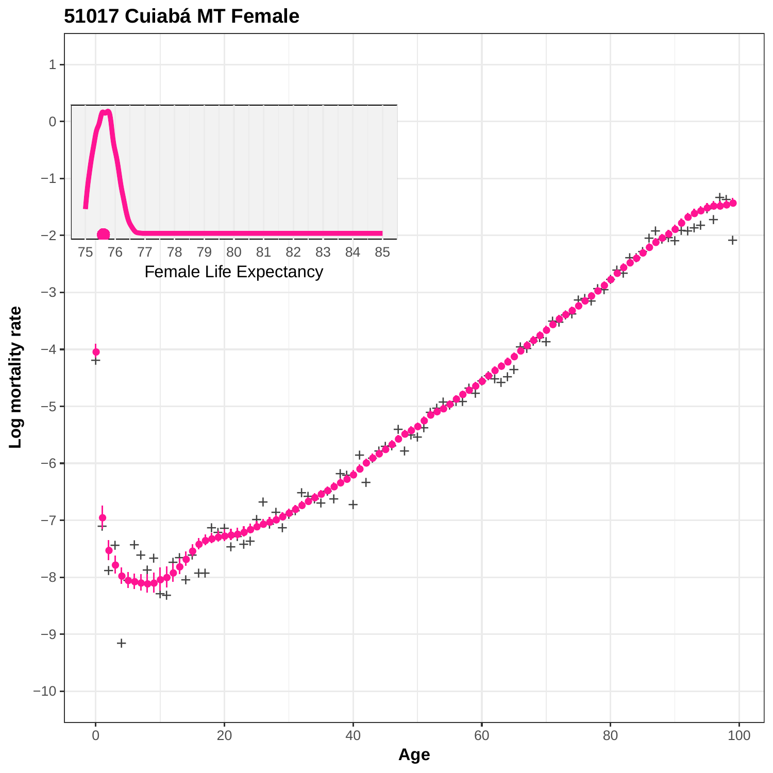

**51017 Cuiabá MT Female**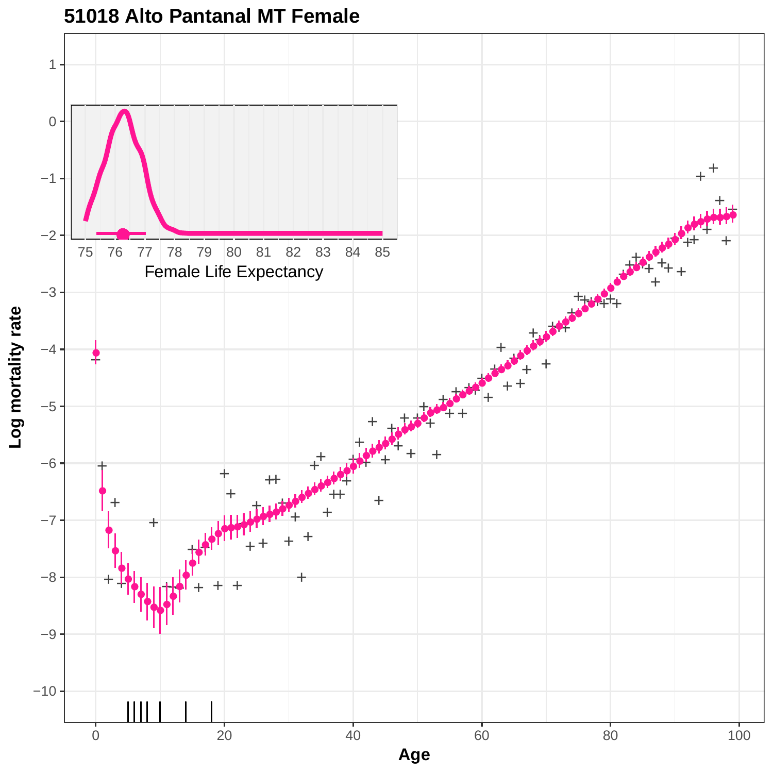

#### **51018 Alto Pantanal MT Female**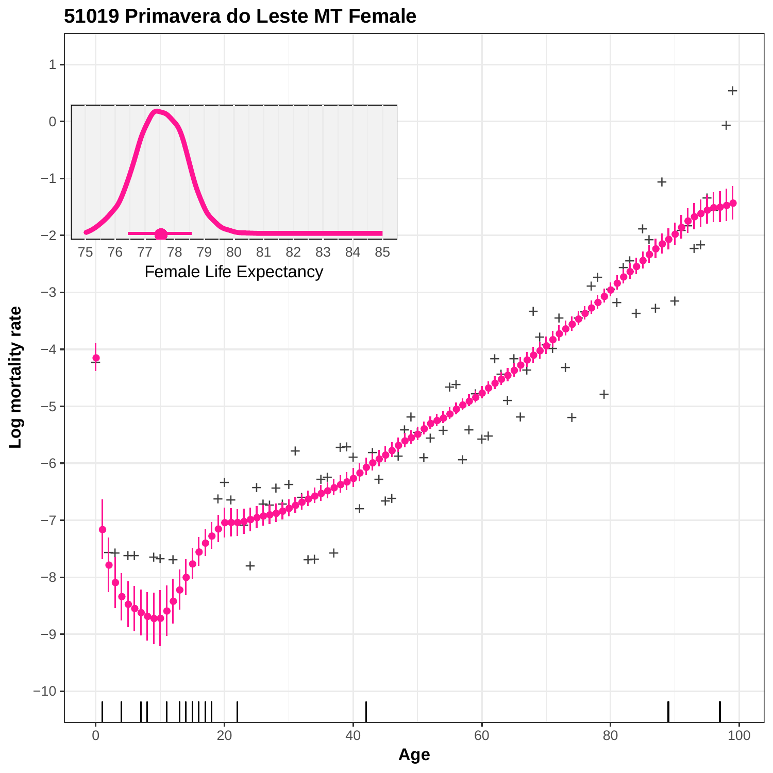

#### **51019 Primavera do Leste MT Female**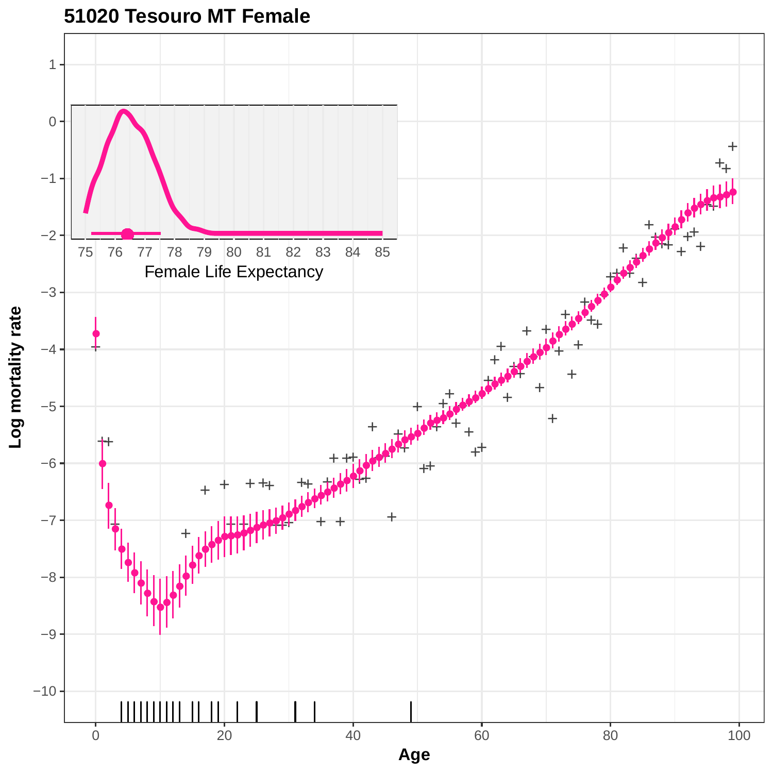

**51020 Tesouro MT Female**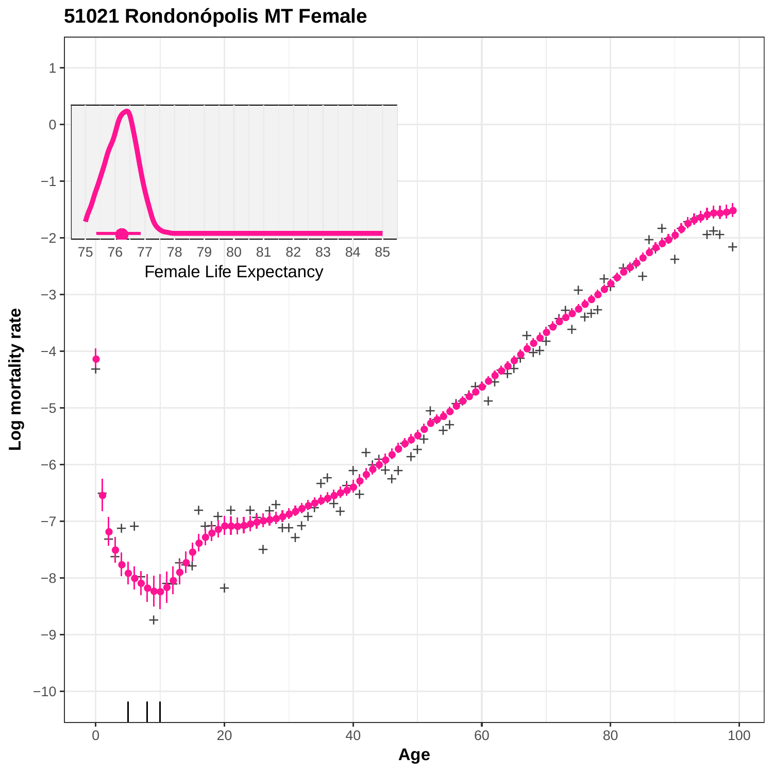

# **51021 Rondonópolis MT Female**